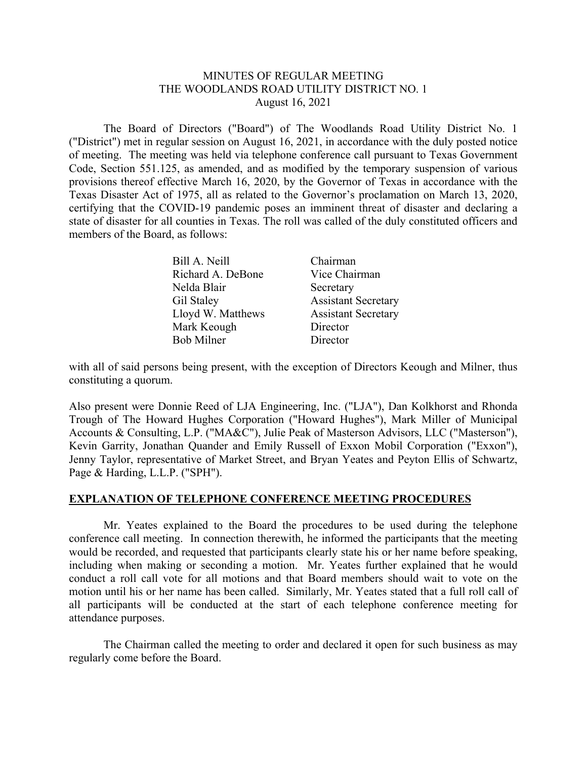## MINUTES OF REGULAR MEETING THE WOODLANDS ROAD UTILITY DISTRICT NO. 1 August 16, 2021

 The Board of Directors ("Board") of The Woodlands Road Utility District No. 1 ("District") met in regular session on August 16, 2021, in accordance with the duly posted notice of meeting. The meeting was held via telephone conference call pursuant to Texas Government Code, Section 551.125, as amended, and as modified by the temporary suspension of various provisions thereof effective March 16, 2020, by the Governor of Texas in accordance with the Texas Disaster Act of 1975, all as related to the Governor's proclamation on March 13, 2020, certifying that the COVID-19 pandemic poses an imminent threat of disaster and declaring a state of disaster for all counties in Texas. The roll was called of the duly constituted officers and members of the Board, as follows:

| Bill A. Neill     | Chairman                   |
|-------------------|----------------------------|
| Richard A. DeBone | Vice Chairman              |
| Nelda Blair       | Secretary                  |
| Gil Staley        | <b>Assistant Secretary</b> |
| Lloyd W. Matthews | <b>Assistant Secretary</b> |
| Mark Keough       | Director                   |
| <b>Bob Milner</b> | Director                   |

with all of said persons being present, with the exception of Directors Keough and Milner, thus constituting a quorum.

Also present were Donnie Reed of LJA Engineering, Inc. ("LJA"), Dan Kolkhorst and Rhonda Trough of The Howard Hughes Corporation ("Howard Hughes"), Mark Miller of Municipal Accounts & Consulting, L.P. ("MA&C"), Julie Peak of Masterson Advisors, LLC ("Masterson"), Kevin Garrity, Jonathan Quander and Emily Russell of Exxon Mobil Corporation ("Exxon"), Jenny Taylor, representative of Market Street, and Bryan Yeates and Peyton Ellis of Schwartz, Page & Harding, L.L.P. ("SPH").

#### **EXPLANATION OF TELEPHONE CONFERENCE MEETING PROCEDURES**

 Mr. Yeates explained to the Board the procedures to be used during the telephone conference call meeting. In connection therewith, he informed the participants that the meeting would be recorded, and requested that participants clearly state his or her name before speaking, including when making or seconding a motion. Mr. Yeates further explained that he would conduct a roll call vote for all motions and that Board members should wait to vote on the motion until his or her name has been called. Similarly, Mr. Yeates stated that a full roll call of all participants will be conducted at the start of each telephone conference meeting for attendance purposes.

 The Chairman called the meeting to order and declared it open for such business as may regularly come before the Board.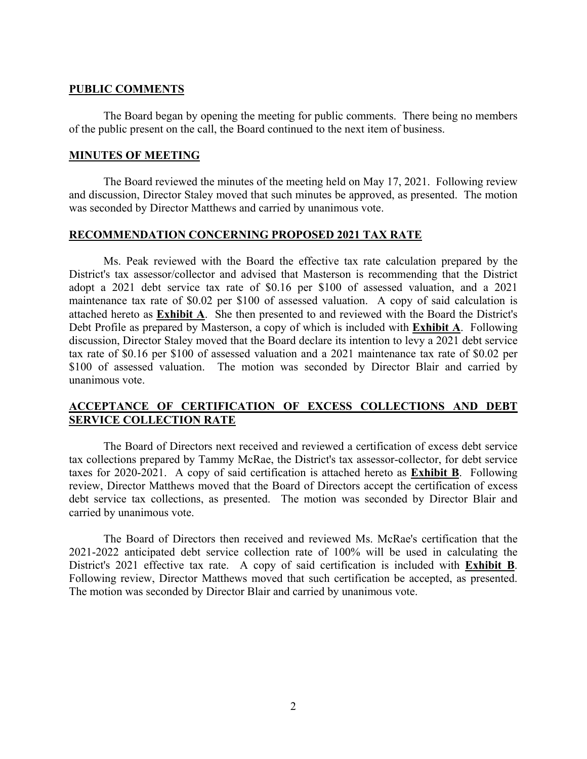### **PUBLIC COMMENTS**

 The Board began by opening the meeting for public comments. There being no members of the public present on the call, the Board continued to the next item of business.

### **MINUTES OF MEETING**

The Board reviewed the minutes of the meeting held on May 17, 2021. Following review and discussion, Director Staley moved that such minutes be approved, as presented. The motion was seconded by Director Matthews and carried by unanimous vote.

## **RECOMMENDATION CONCERNING PROPOSED 2021 TAX RATE**

 Ms. Peak reviewed with the Board the effective tax rate calculation prepared by the District's tax assessor/collector and advised that Masterson is recommending that the District adopt a 2021 debt service tax rate of \$0.16 per \$100 of assessed valuation, and a 2021 maintenance tax rate of \$0.02 per \$100 of assessed valuation. A copy of said calculation is attached hereto as **Exhibit A**. She then presented to and reviewed with the Board the District's Debt Profile as prepared by Masterson, a copy of which is included with **Exhibit A**. Following discussion, Director Staley moved that the Board declare its intention to levy a 2021 debt service tax rate of \$0.16 per \$100 of assessed valuation and a 2021 maintenance tax rate of \$0.02 per \$100 of assessed valuation. The motion was seconded by Director Blair and carried by unanimous vote.

# **ACCEPTANCE OF CERTIFICATION OF EXCESS COLLECTIONS AND DEBT SERVICE COLLECTION RATE**

The Board of Directors next received and reviewed a certification of excess debt service tax collections prepared by Tammy McRae, the District's tax assessor-collector, for debt service taxes for 2020-2021. A copy of said certification is attached hereto as **Exhibit B**. Following review, Director Matthews moved that the Board of Directors accept the certification of excess debt service tax collections, as presented. The motion was seconded by Director Blair and carried by unanimous vote.

The Board of Directors then received and reviewed Ms. McRae's certification that the 2021-2022 anticipated debt service collection rate of 100% will be used in calculating the District's 2021 effective tax rate. A copy of said certification is included with **Exhibit B**. Following review, Director Matthews moved that such certification be accepted, as presented. The motion was seconded by Director Blair and carried by unanimous vote.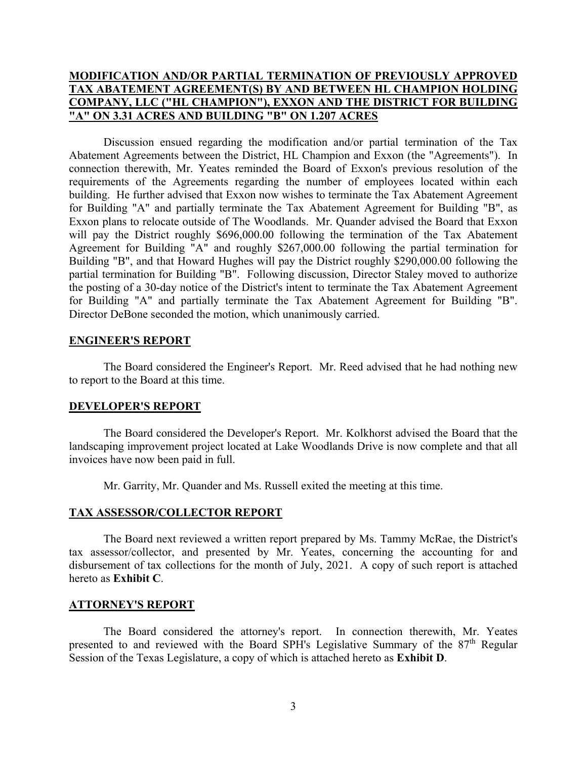# **MODIFICATION AND/OR PARTIAL TERMINATION OF PREVIOUSLY APPROVED TAX ABATEMENT AGREEMENT(S) BY AND BETWEEN HL CHAMPION HOLDING COMPANY, LLC ("HL CHAMPION"), EXXON AND THE DISTRICT FOR BUILDING "A" ON 3.31 ACRES AND BUILDING "B" ON 1.207 ACRES**

 Discussion ensued regarding the modification and/or partial termination of the Tax Abatement Agreements between the District, HL Champion and Exxon (the "Agreements"). In connection therewith, Mr. Yeates reminded the Board of Exxon's previous resolution of the requirements of the Agreements regarding the number of employees located within each building. He further advised that Exxon now wishes to terminate the Tax Abatement Agreement for Building "A" and partially terminate the Tax Abatement Agreement for Building "B", as Exxon plans to relocate outside of The Woodlands. Mr. Quander advised the Board that Exxon will pay the District roughly \$696,000.00 following the termination of the Tax Abatement Agreement for Building "A" and roughly \$267,000.00 following the partial termination for Building "B", and that Howard Hughes will pay the District roughly \$290,000.00 following the partial termination for Building "B". Following discussion, Director Staley moved to authorize the posting of a 30-day notice of the District's intent to terminate the Tax Abatement Agreement for Building "A" and partially terminate the Tax Abatement Agreement for Building "B". Director DeBone seconded the motion, which unanimously carried.

## **ENGINEER'S REPORT**

 The Board considered the Engineer's Report. Mr. Reed advised that he had nothing new to report to the Board at this time.

#### **DEVELOPER'S REPORT**

 The Board considered the Developer's Report. Mr. Kolkhorst advised the Board that the landscaping improvement project located at Lake Woodlands Drive is now complete and that all invoices have now been paid in full.

Mr. Garrity, Mr. Quander and Ms. Russell exited the meeting at this time.

# **TAX ASSESSOR/COLLECTOR REPORT**

 The Board next reviewed a written report prepared by Ms. Tammy McRae, the District's tax assessor/collector, and presented by Mr. Yeates, concerning the accounting for and disbursement of tax collections for the month of July, 2021. A copy of such report is attached hereto as **Exhibit C**.

#### **ATTORNEY'S REPORT**

 The Board considered the attorney's report. In connection therewith, Mr. Yeates presented to and reviewed with the Board SPH's Legislative Summary of the 87<sup>th</sup> Regular Session of the Texas Legislature, a copy of which is attached hereto as **Exhibit D**.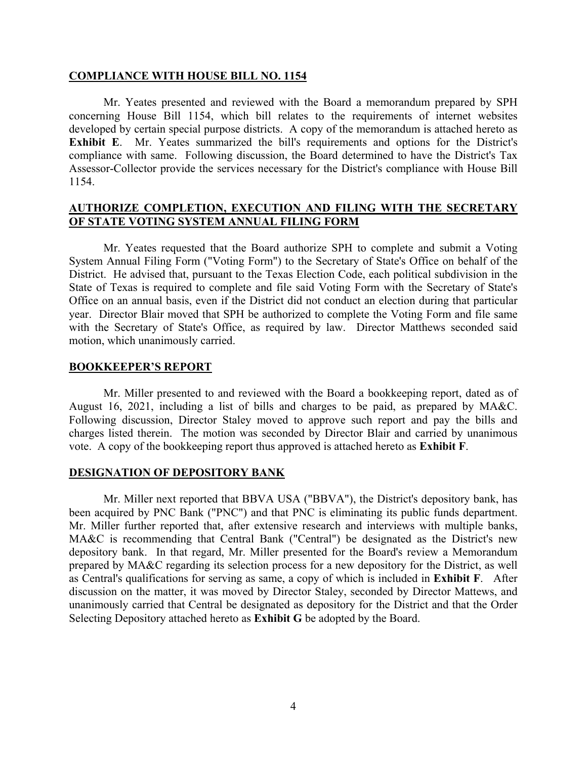#### **COMPLIANCE WITH HOUSE BILL NO. 1154**

Mr. Yeates presented and reviewed with the Board a memorandum prepared by SPH concerning House Bill 1154, which bill relates to the requirements of internet websites developed by certain special purpose districts. A copy of the memorandum is attached hereto as **Exhibit E**. Mr. Yeates summarized the bill's requirements and options for the District's compliance with same. Following discussion, the Board determined to have the District's Tax Assessor-Collector provide the services necessary for the District's compliance with House Bill 1154.

## **AUTHORIZE COMPLETION, EXECUTION AND FILING WITH THE SECRETARY OF STATE VOTING SYSTEM ANNUAL FILING FORM**

 Mr. Yeates requested that the Board authorize SPH to complete and submit a Voting System Annual Filing Form ("Voting Form") to the Secretary of State's Office on behalf of the District. He advised that, pursuant to the Texas Election Code, each political subdivision in the State of Texas is required to complete and file said Voting Form with the Secretary of State's Office on an annual basis, even if the District did not conduct an election during that particular year. Director Blair moved that SPH be authorized to complete the Voting Form and file same with the Secretary of State's Office, as required by law. Director Matthews seconded said motion, which unanimously carried.

#### **BOOKKEEPER'S REPORT**

Mr. Miller presented to and reviewed with the Board a bookkeeping report, dated as of August 16, 2021, including a list of bills and charges to be paid, as prepared by MA&C. Following discussion, Director Staley moved to approve such report and pay the bills and charges listed therein. The motion was seconded by Director Blair and carried by unanimous vote. A copy of the bookkeeping report thus approved is attached hereto as **Exhibit F**.

#### **DESIGNATION OF DEPOSITORY BANK**

 Mr. Miller next reported that BBVA USA ("BBVA"), the District's depository bank, has been acquired by PNC Bank ("PNC") and that PNC is eliminating its public funds department. Mr. Miller further reported that, after extensive research and interviews with multiple banks, MA&C is recommending that Central Bank ("Central") be designated as the District's new depository bank. In that regard, Mr. Miller presented for the Board's review a Memorandum prepared by MA&C regarding its selection process for a new depository for the District, as well as Central's qualifications for serving as same, a copy of which is included in **Exhibit F**. After discussion on the matter, it was moved by Director Staley, seconded by Director Mattews, and unanimously carried that Central be designated as depository for the District and that the Order Selecting Depository attached hereto as **Exhibit G** be adopted by the Board.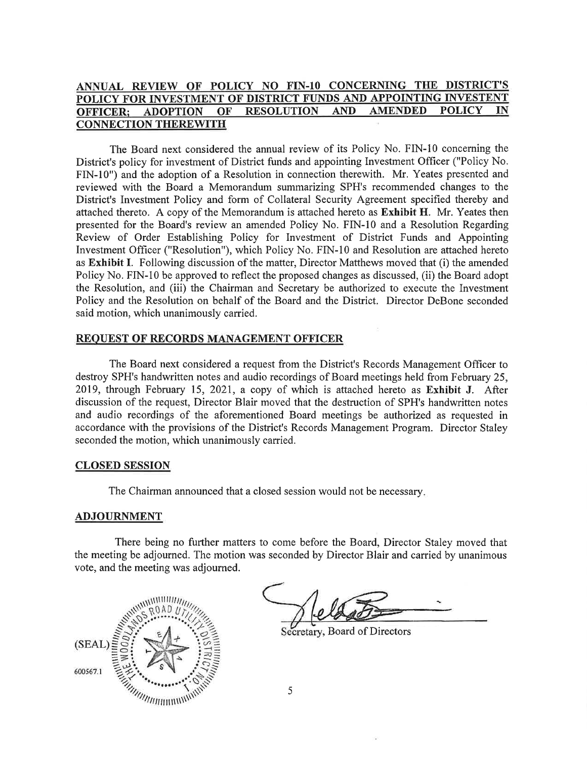#### ANNUAL REVIEW OF POLICY NO FIN-10 CONCERNING THE DISTRICT'S POLICY FOR INVESTMENT OF DISTRICT FUNDS AND APPOINTING INVESTENT **AMENDED POLICY RESOLUTION AND** OFFICER: **ADOPTION** OF IN **CONNECTION THEREWITH**

The Board next considered the annual review of its Policy No. FIN-10 concerning the District's policy for investment of District funds and appointing Investment Officer ("Policy No. FIN-10") and the adoption of a Resolution in connection therewith. Mr. Yeates presented and reviewed with the Board a Memorandum summarizing SPH's recommended changes to the District's Investment Policy and form of Collateral Security Agreement specified thereby and attached thereto. A copy of the Memorandum is attached hereto as **Exhibit H.** Mr. Yeates then presented for the Board's review an amended Policy No. FIN-10 and a Resolution Regarding Review of Order Establishing Policy for Investment of District Funds and Appointing Investment Officer ("Resolution"), which Policy No. FIN-10 and Resolution are attached hereto as Exhibit I. Following discussion of the matter, Director Matthews moved that (i) the amended Policy No. FIN-10 be approved to reflect the proposed changes as discussed, (ii) the Board adopt the Resolution, and (iii) the Chairman and Secretary be authorized to execute the Investment Policy and the Resolution on behalf of the Board and the District. Director DeBone seconded said motion, which unanimously carried.

#### **REQUEST OF RECORDS MANAGEMENT OFFICER**

The Board next considered a request from the District's Records Management Officer to destroy SPH's handwritten notes and audio recordings of Board meetings held from February 25, 2019, through February 15, 2021, a copy of which is attached hereto as Exhibit J. After discussion of the request, Director Blair moved that the destruction of SPH's handwritten notes and audio recordings of the aforementioned Board meetings be authorized as requested in accordance with the provisions of the District's Records Management Program. Director Staley seconded the motion, which unanimously carried.

#### **CLOSED SESSION**

The Chairman announced that a closed session would not be necessary.

#### **ADJOURNMENT**

There being no further matters to come before the Board, Director Staley moved that the meeting be adjourned. The motion was seconded by Director Blair and carried by unanimous vote, and the meeting was adjourned.



Secretary, Board of Directors

5